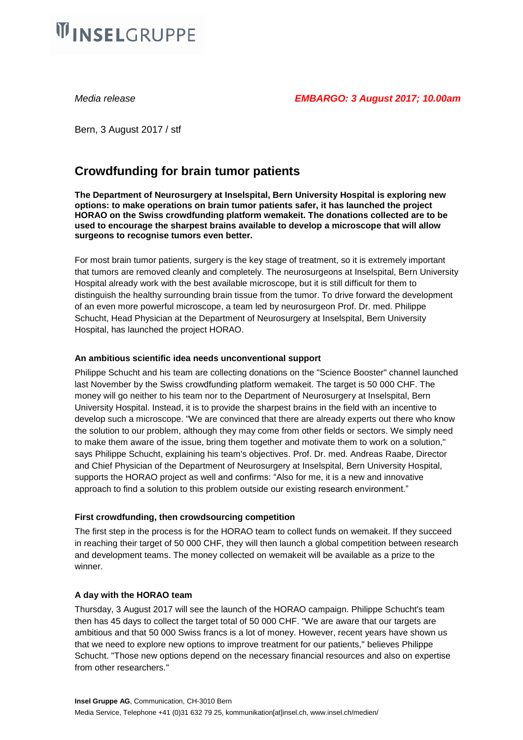# **WINSELGRUPPE**

Bern, 3 August 2017 / stf

## **Crowdfunding for brain tumor patients**

**The Department of Neurosurgery at Inselspital, Bern University Hospital is exploring new options: to make operations on brain tumor patients safer, it has launched the project HORAO on the Swiss crowdfunding platform wemakeit. The donations collected are to be used to encourage the sharpest brains available to develop a microscope that will allow surgeons to recognise tumors even better.**

For most brain tumor patients, surgery is the key stage of treatment, so it is extremely important that tumors are removed cleanly and completely. The neurosurgeons at Inselspital, Bern University Hospital already work with the best available microscope, but it is still difficult for them to distinguish the healthy surrounding brain tissue from the tumor. To drive forward the development of an even more powerful microscope, a team led by neurosurgeon Prof. Dr. med. Philippe Schucht, Head Physician at the Department of Neurosurgery at Inselspital, Bern University Hospital, has launched the project HORAO.

#### **An ambitious scientific idea needs unconventional support**

Philippe Schucht and his team are collecting donations on the "Science Booster" channel launched last November by the Swiss crowdfunding platform wemakeit. The target is 50 000 CHF. The money will go neither to his team nor to the Department of Neurosurgery at Inselspital, Bern University Hospital. Instead, it is to provide the sharpest brains in the field with an incentive to develop such a microscope. "We are convinced that there are already experts out there who know the solution to our problem, although they may come from other fields or sectors. We simply need to make them aware of the issue, bring them together and motivate them to work on a solution," says Philippe Schucht, explaining his team's objectives. Prof. Dr. med. Andreas Raabe, Director and Chief Physician of the Department of Neurosurgery at Inselspital, Bern University Hospital, supports the HORAO project as well and confirms: "Also for me, it is a new and innovative approach to find a solution to this problem outside our existing research environment."

### **First crowdfunding, then crowdsourcing competition**

The first step in the process is for the HORAO team to collect funds on wemakeit. If they succeed in reaching their target of 50 000 CHF, they will then launch a global competition between research and development teams. The money collected on wemakeit will be available as a prize to the winner.

### **A day with the HORAO team**

Thursday, 3 August 2017 will see the launch of the HORAO campaign. Philippe Schucht's team then has 45 days to collect the target total of 50 000 CHF. "We are aware that our targets are ambitious and that 50 000 Swiss francs is a lot of money. However, recent years have shown us that we need to explore new options to improve treatment for our patients," believes Philippe Schucht. "Those new options depend on the necessary financial resources and also on expertise from other researchers."